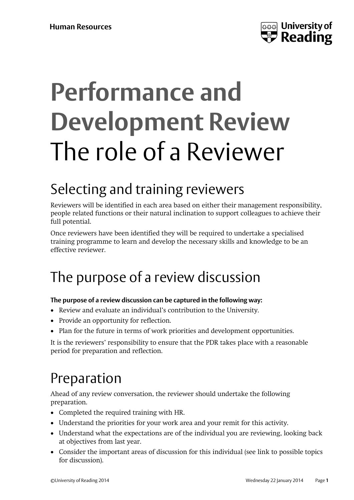

# **Performance and Development Review** The role of a Reviewer

#### Selecting and training reviewers

Reviewers will be identified in each area based on either their management responsibility, people related functions or their natural inclination to support colleagues to achieve their full potential.

Once reviewers have been identified they will be required to undertake a specialised training programme to learn and develop the necessary skills and knowledge to be an effective reviewer.

#### The purpose of a review discussion

#### **The purpose of a review discussion can be captured in the following way:**

- Review and evaluate an individual's contribution to the University.
- Provide an opportunity for reflection.
- Plan for the future in terms of work priorities and development opportunities.

It is the reviewers' responsibility to ensure that the PDR takes place with a reasonable period for preparation and reflection.

#### Preparation

Ahead of any review conversation, the reviewer should undertake the following preparation.

- Completed the required training with HR.
- Understand the priorities for your work area and your remit for this activity.
- Understand what the expectations are of the individual you are reviewing, looking back at objectives from last year.
- Consider the important areas of discussion for this individual (see link to possible topics for discussion).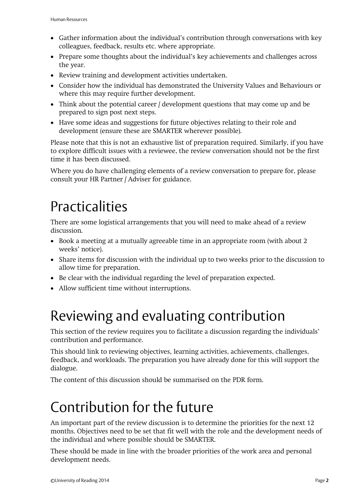- Gather information about the individual's contribution through conversations with key colleagues, feedback, results etc. where appropriate.
- Prepare some thoughts about the individual's key achievements and challenges across the year.
- Review training and development activities undertaken.
- Consider how the individual has demonstrated the University Values and Behaviours or where this may require further development.
- Think about the potential career / development questions that may come up and be prepared to sign post next steps.
- Have some ideas and suggestions for future objectives relating to their role and development (ensure these are SMARTER wherever possible).

Please note that this is not an exhaustive list of preparation required. Similarly, if you have to explore difficult issues with a reviewee, the review conversation should not be the first time it has been discussed.

Where you do have challenging elements of a review conversation to prepare for, please consult your HR Partner / Adviser for guidance.

#### **Practicalities**

There are some logistical arrangements that you will need to make ahead of a review discussion.

- Book a meeting at a mutually agreeable time in an appropriate room (with about 2 weeks' notice).
- Share items for discussion with the individual up to two weeks prior to the discussion to allow time for preparation.
- Be clear with the individual regarding the level of preparation expected.
- Allow sufficient time without interruptions.

#### Reviewing and evaluating contribution

This section of the review requires you to facilitate a discussion regarding the individuals' contribution and performance.

This should link to reviewing objectives, learning activities, achievements, challenges, feedback, and workloads. The preparation you have already done for this will support the dialogue.

The content of this discussion should be summarised on the PDR form.

#### Contribution for the future

An important part of the review discussion is to determine the priorities for the next 12 months. Objectives need to be set that fit well with the role and the development needs of the individual and where possible should be SMARTER.

These should be made in line with the broader priorities of the work area and personal development needs.